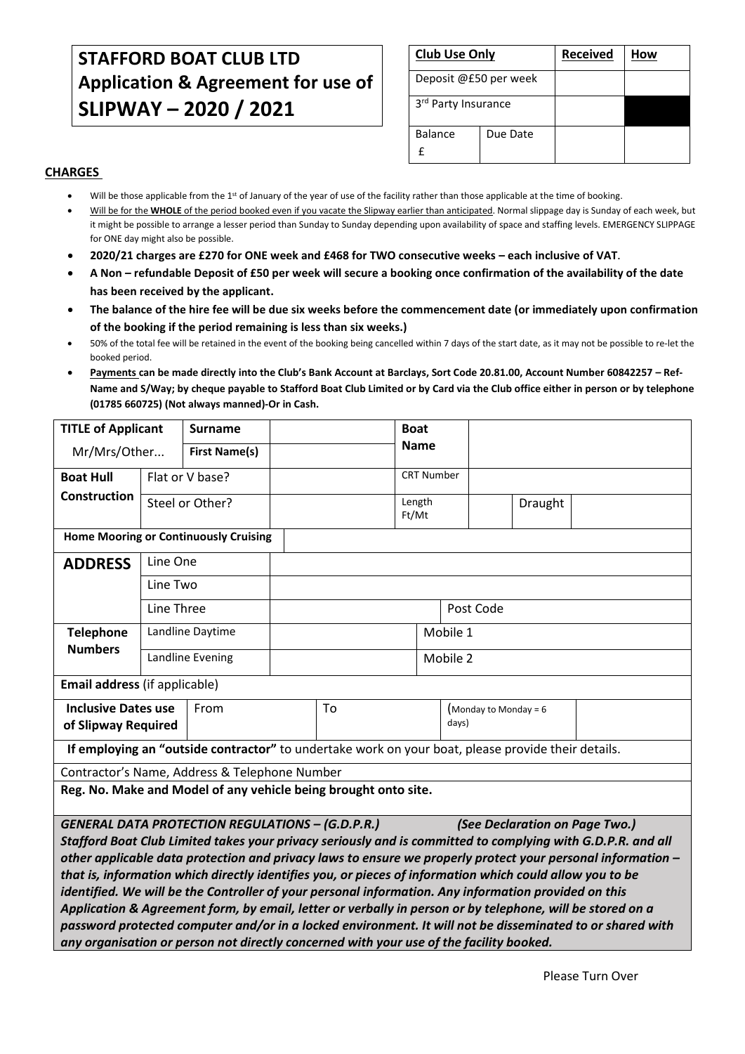# **STAFFORD BOAT CLUB LTD Application & Agreement for use of SLIPWAY – 2020 / 2021**

| <b>Club Use Only</b>  |          | <b>Received</b> | How |
|-----------------------|----------|-----------------|-----|
| Deposit @£50 per week |          |                 |     |
| 3rd Party Insurance   |          |                 |     |
| <b>Balance</b>        | Due Date |                 |     |

## **CHARGES**

- Will be those applicable from the 1<sup>st</sup> of January of the year of use of the facility rather than those applicable at the time of booking.
- Will be for the **WHOLE** of the period booked even if you vacate the Slipway earlier than anticipated. Normal slippage day is Sunday of each week, but it might be possible to arrange a lesser period than Sunday to Sunday depending upon availability of space and staffing levels. EMERGENCY SLIPPAGE for ONE day might also be possible.
- **2020/21 charges are £270 for ONE week and £468 for TWO consecutive weeks – each inclusive of VAT.**
- **A Non – refundable Deposit of £50 per week will secure a booking once confirmation of the availability of the date has been received by the applicant.**
- **The balance of the hire fee will be due six weeks before the commencement date (or immediately upon confirmation of the booking if the period remaining is less than six weeks.)**
- 50% of the total fee will be retained in the event of the booking being cancelled within 7 days of the start date, as it may not be possible to re-let the booked period.
- **Payments can be made directly into the Club's Bank Account at Barclays, Sort Code 20.81.00, Account Number 60842257 – Ref-Name and S/Way; by cheque payable to Stafford Boat Club Limited or by Card via the Club office either in person or by telephone (01785 660725) (Not always manned)-Or in Cash.**

| <b>TITLE of Applicant</b>                                                                                                                                                                                                                                                                                                                                                                                                                                                                                                                                                                                                                                                                                                                                                                                                                                        |                 | <b>Surname</b>       |          |  | <b>Boat</b>       |                                  |           |  |         |  |
|------------------------------------------------------------------------------------------------------------------------------------------------------------------------------------------------------------------------------------------------------------------------------------------------------------------------------------------------------------------------------------------------------------------------------------------------------------------------------------------------------------------------------------------------------------------------------------------------------------------------------------------------------------------------------------------------------------------------------------------------------------------------------------------------------------------------------------------------------------------|-----------------|----------------------|----------|--|-------------------|----------------------------------|-----------|--|---------|--|
| Mr/Mrs/Other                                                                                                                                                                                                                                                                                                                                                                                                                                                                                                                                                                                                                                                                                                                                                                                                                                                     |                 | <b>First Name(s)</b> |          |  | <b>Name</b>       |                                  |           |  |         |  |
| <b>Boat Hull</b>                                                                                                                                                                                                                                                                                                                                                                                                                                                                                                                                                                                                                                                                                                                                                                                                                                                 |                 | Flat or V base?      |          |  | <b>CRT Number</b> |                                  |           |  |         |  |
| <b>Construction</b>                                                                                                                                                                                                                                                                                                                                                                                                                                                                                                                                                                                                                                                                                                                                                                                                                                              | Steel or Other? |                      |          |  |                   | Length<br>Ft/Mt                  |           |  | Draught |  |
| <b>Home Mooring or Continuously Cruising</b>                                                                                                                                                                                                                                                                                                                                                                                                                                                                                                                                                                                                                                                                                                                                                                                                                     |                 |                      |          |  |                   |                                  |           |  |         |  |
| <b>ADDRESS</b>                                                                                                                                                                                                                                                                                                                                                                                                                                                                                                                                                                                                                                                                                                                                                                                                                                                   | Line One        |                      |          |  |                   |                                  |           |  |         |  |
|                                                                                                                                                                                                                                                                                                                                                                                                                                                                                                                                                                                                                                                                                                                                                                                                                                                                  | Line Two        |                      |          |  |                   |                                  |           |  |         |  |
| Line Three                                                                                                                                                                                                                                                                                                                                                                                                                                                                                                                                                                                                                                                                                                                                                                                                                                                       |                 |                      |          |  |                   |                                  | Post Code |  |         |  |
| Landline Daytime<br><b>Telephone</b>                                                                                                                                                                                                                                                                                                                                                                                                                                                                                                                                                                                                                                                                                                                                                                                                                             |                 |                      | Mobile 1 |  |                   |                                  |           |  |         |  |
| <b>Numbers</b>                                                                                                                                                                                                                                                                                                                                                                                                                                                                                                                                                                                                                                                                                                                                                                                                                                                   |                 | Landline Evening     | Mobile 2 |  |                   |                                  |           |  |         |  |
| Email address (if applicable)                                                                                                                                                                                                                                                                                                                                                                                                                                                                                                                                                                                                                                                                                                                                                                                                                                    |                 |                      |          |  |                   |                                  |           |  |         |  |
| <b>Inclusive Dates use</b><br>From<br>of Slipway Required                                                                                                                                                                                                                                                                                                                                                                                                                                                                                                                                                                                                                                                                                                                                                                                                        |                 | To                   |          |  |                   | (Monday to Monday = $6$<br>days) |           |  |         |  |
| If employing an "outside contractor" to undertake work on your boat, please provide their details.                                                                                                                                                                                                                                                                                                                                                                                                                                                                                                                                                                                                                                                                                                                                                               |                 |                      |          |  |                   |                                  |           |  |         |  |
| Contractor's Name, Address & Telephone Number                                                                                                                                                                                                                                                                                                                                                                                                                                                                                                                                                                                                                                                                                                                                                                                                                    |                 |                      |          |  |                   |                                  |           |  |         |  |
| Reg. No. Make and Model of any vehicle being brought onto site.                                                                                                                                                                                                                                                                                                                                                                                                                                                                                                                                                                                                                                                                                                                                                                                                  |                 |                      |          |  |                   |                                  |           |  |         |  |
| <b>GENERAL DATA PROTECTION REGULATIONS - (G.D.P.R.)</b><br>(See Declaration on Page Two.)<br>Stafford Boat Club Limited takes your privacy seriously and is committed to complying with G.D.P.R. and all<br>other applicable data protection and privacy laws to ensure we properly protect your personal information –<br>that is, information which directly identifies you, or pieces of information which could allow you to be<br>identified. We will be the Controller of your personal information. Any information provided on this<br>Application & Agreement form, by email, letter or verbally in person or by telephone, will be stored on a<br>password protected computer and/or in a locked environment. It will not be disseminated to or shared with<br>any organisation or person not directly concerned with your use of the facility booked. |                 |                      |          |  |                   |                                  |           |  |         |  |